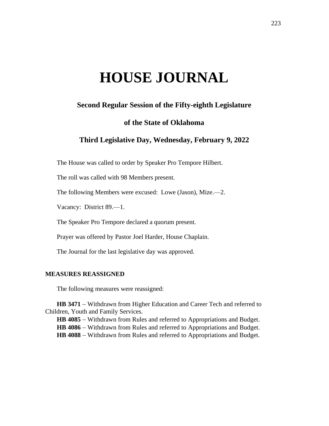# **HOUSE JOURNAL**

# **Second Regular Session of the Fifty-eighth Legislature**

## **of the State of Oklahoma**

# **Third Legislative Day, Wednesday, February 9, 2022**

The House was called to order by Speaker Pro Tempore Hilbert.

The roll was called with 98 Members present.

The following Members were excused: Lowe (Jason), Mize.—2.

Vacancy: District 89.—1.

The Speaker Pro Tempore declared a quorum present.

Prayer was offered by Pastor Joel Harder, House Chaplain.

The Journal for the last legislative day was approved.

#### **MEASURES REASSIGNED**

The following measures were reassigned:

HB 3471 − Withdrawn from Higher Education and Career Tech and referred to Children, Youth and Family Services.

**HB 4085** − Withdrawn from Rules and referred to Appropriations and Budget.

HB 4086 − Withdrawn from Rules and referred to Appropriations and Budget.

HB 4088 − Withdrawn from Rules and referred to Appropriations and Budget.